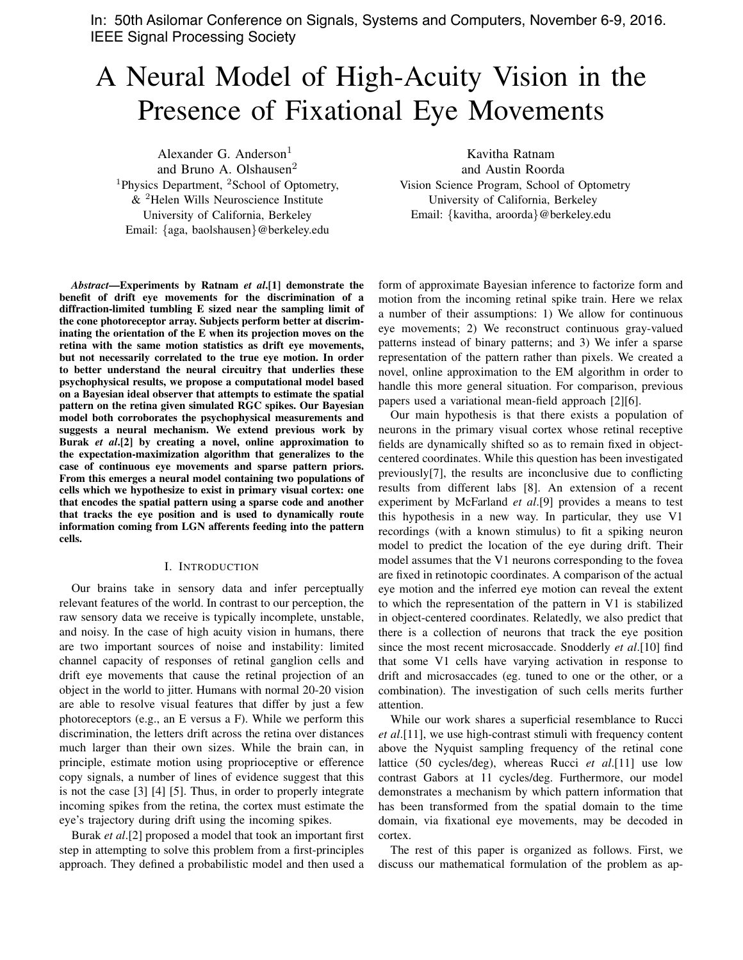In: 50th Asilomar Conference on Signals, Systems and Computers, November 6-9, 2016. IEEE Signal Processing Society

# A Neural Model of High-Acuity Vision in the Presence of Fixational Eye Movements

Alexander G. Anderson<sup>1</sup> and Bruno A. Olshausen $<sup>2</sup>$ </sup> <sup>1</sup>Physics Department, <sup>2</sup>School of Optometry,  $&$  <sup>2</sup>Helen Wills Neuroscience Institute University of California, Berkeley Email: *{*aga, baolshausen*}*@berkeley.edu

*Abstract*—Experiments by Ratnam *et al*.[1] demonstrate the benefit of drift eye movements for the discrimination of a diffraction-limited tumbling E sized near the sampling limit of the cone photoreceptor array. Subjects perform better at discriminating the orientation of the E when its projection moves on the retina with the same motion statistics as drift eye movements, but not necessarily correlated to the true eye motion. In order to better understand the neural circuitry that underlies these psychophysical results, we propose a computational model based on a Bayesian ideal observer that attempts to estimate the spatial pattern on the retina given simulated RGC spikes. Our Bayesian model both corroborates the psychophysical measurements and suggests a neural mechanism. We extend previous work by Burak *et al*.[2] by creating a novel, online approximation to the expectation-maximization algorithm that generalizes to the case of continuous eye movements and sparse pattern priors. From this emerges a neural model containing two populations of cells which we hypothesize to exist in primary visual cortex: one that encodes the spatial pattern using a sparse code and another that tracks the eye position and is used to dynamically route information coming from LGN afferents feeding into the pattern cells.

#### I. INTRODUCTION

Our brains take in sensory data and infer perceptually relevant features of the world. In contrast to our perception, the raw sensory data we receive is typically incomplete, unstable, and noisy. In the case of high acuity vision in humans, there are two important sources of noise and instability: limited channel capacity of responses of retinal ganglion cells and drift eye movements that cause the retinal projection of an object in the world to jitter. Humans with normal 20-20 vision are able to resolve visual features that differ by just a few photoreceptors (e.g., an E versus a F). While we perform this discrimination, the letters drift across the retina over distances much larger than their own sizes. While the brain can, in principle, estimate motion using proprioceptive or efference copy signals, a number of lines of evidence suggest that this is not the case [3] [4] [5]. Thus, in order to properly integrate incoming spikes from the retina, the cortex must estimate the eye's trajectory during drift using the incoming spikes.

Burak *et al*.[2] proposed a model that took an important first step in attempting to solve this problem from a first-principles approach. They defined a probabilistic model and then used a

Kavitha Ratnam and Austin Roorda Vision Science Program, School of Optometry University of California, Berkeley Email: *{*kavitha, aroorda*}*@berkeley.edu

form of approximate Bayesian inference to factorize form and motion from the incoming retinal spike train. Here we relax a number of their assumptions: 1) We allow for continuous eye movements; 2) We reconstruct continuous gray-valued patterns instead of binary patterns; and 3) We infer a sparse representation of the pattern rather than pixels. We created a novel, online approximation to the EM algorithm in order to handle this more general situation. For comparison, previous papers used a variational mean-field approach [2][6].

Our main hypothesis is that there exists a population of neurons in the primary visual cortex whose retinal receptive fields are dynamically shifted so as to remain fixed in objectcentered coordinates. While this question has been investigated previously[7], the results are inconclusive due to conflicting results from different labs [8]. An extension of a recent experiment by McFarland *et al*.[9] provides a means to test this hypothesis in a new way. In particular, they use V1 recordings (with a known stimulus) to fit a spiking neuron model to predict the location of the eye during drift. Their model assumes that the V1 neurons corresponding to the fovea are fixed in retinotopic coordinates. A comparison of the actual eye motion and the inferred eye motion can reveal the extent to which the representation of the pattern in V1 is stabilized in object-centered coordinates. Relatedly, we also predict that there is a collection of neurons that track the eye position since the most recent microsaccade. Snodderly *et al*.[10] find that some V1 cells have varying activation in response to drift and microsaccades (eg. tuned to one or the other, or a combination). The investigation of such cells merits further attention.

While our work shares a superficial resemblance to Rucci *et al*.[11], we use high-contrast stimuli with frequency content above the Nyquist sampling frequency of the retinal cone lattice (50 cycles/deg), whereas Rucci *et al*.[11] use low contrast Gabors at 11 cycles/deg. Furthermore, our model demonstrates a mechanism by which pattern information that has been transformed from the spatial domain to the time domain, via fixational eye movements, may be decoded in cortex.

The rest of this paper is organized as follows. First, we discuss our mathematical formulation of the problem as ap-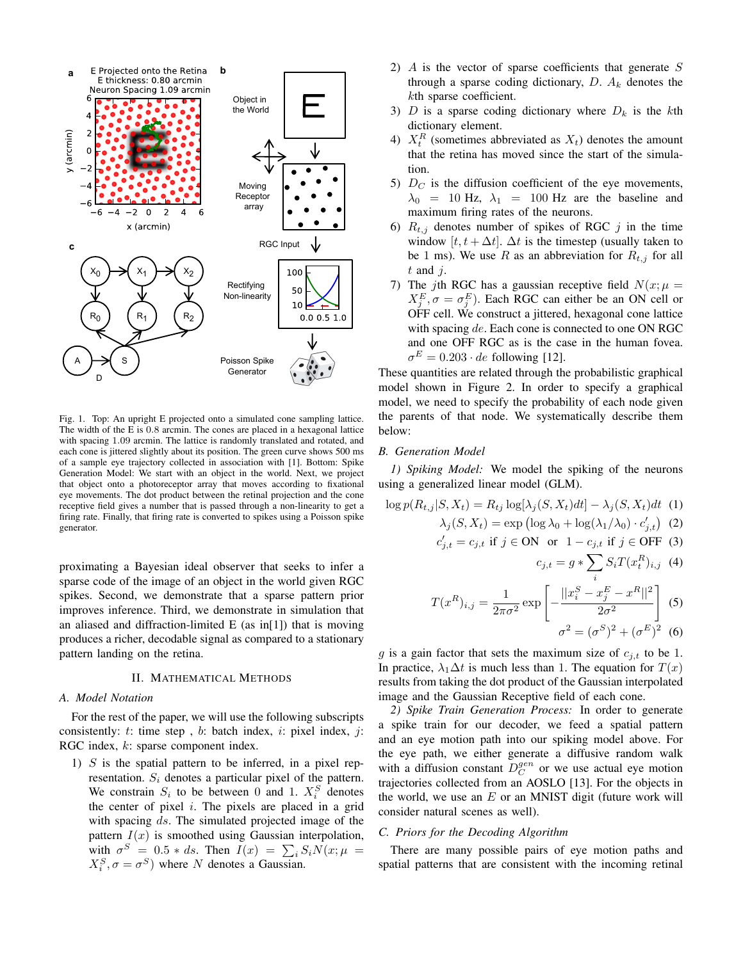

Fig. 1. Top: An upright E projected onto a simulated cone sampling lattice. The width of the E is 0*.*8 arcmin. The cones are placed in a hexagonal lattice with spacing 1*.*09 arcmin. The lattice is randomly translated and rotated, and each cone is jittered slightly about its position. The green curve shows 500 ms of a sample eye trajectory collected in association with [1]. Bottom: Spike Generation Model: We start with an object in the world. Next, we project that object onto a photoreceptor array that moves according to fixational eye movements. The dot product between the retinal projection and the cone receptive field gives a number that is passed through a non-linearity to get a firing rate. Finally, that firing rate is converted to spikes using a Poisson spike generator.

proximating a Bayesian ideal observer that seeks to infer a sparse code of the image of an object in the world given RGC spikes. Second, we demonstrate that a sparse pattern prior improves inference. Third, we demonstrate in simulation that an aliased and diffraction-limited  $E$  (as in[1]) that is moving produces a richer, decodable signal as compared to a stationary pattern landing on the retina.

#### II. MATHEMATICAL METHODS

## *A. Model Notation*

For the rest of the paper, we will use the following subscripts consistently: *t*: time step , *b*: batch index, *i*: pixel index, *j*: RGC index, *k*: sparse component index.

1) *S* is the spatial pattern to be inferred, in a pixel representation. *S<sup>i</sup>* denotes a particular pixel of the pattern. We constrain  $S_i$  to be between 0 and 1.  $X_i^S$  denotes the center of pixel *i*. The pixels are placed in a grid with spacing *ds*. The simulated projected image of the pattern  $I(x)$  is smoothed using Gaussian interpolation, with  $\sigma^S = 0.5 * ds$ . Then  $I(x) = \sum_i S_i N(x; \mu)$  $X_i^S$ ,  $\sigma = \sigma^S$ ) where *N* denotes a Gaussian.

- 2) *A* is the vector of sparse coefficients that generate *S* through a sparse coding dictionary,  $D$ .  $A_k$  denotes the *k*th sparse coefficient.
- 3) *D* is a sparse coding dictionary where  $D_k$  is the *k*th dictionary element.
- 4)  $X_t^R$  (sometimes abbreviated as  $X_t$ ) denotes the amount that the retina has moved since the start of the simulation.
- 5)  $D_C$  is the diffusion coefficient of the eye movements,  $\lambda_0$  = 10 Hz,  $\lambda_1$  = 100 Hz are the baseline and maximum firing rates of the neurons.
- 6)  $R_{t,j}$  denotes number of spikes of RGC *j* in the time window  $[t, t + \Delta t]$ .  $\Delta t$  is the timestep (usually taken to be 1 ms). We use *R* as an abbreviation for  $R_{t,j}$  for all *t* and *j*.
- 7) The *j*th RGC has a gaussian receptive field  $N(x; \mu =$  $X_j^E$ ,  $\sigma = \sigma_j^E$ ). Each RGC can either be an ON cell or OFF cell. We construct a jittered, hexagonal cone lattice with spacing *de*. Each cone is connected to one ON RGC and one OFF RGC as is the case in the human fovea.  $\sigma^E = 0.203 \cdot de$  following [12].

These quantities are related through the probabilistic graphical model shown in Figure 2. In order to specify a graphical model, we need to specify the probability of each node given the parents of that node. We systematically describe them below:

#### *B. Generation Model*

*1) Spiking Model:* We model the spiking of the neurons using a generalized linear model (GLM).

$$
\log p(R_{t,j}|S, X_t) = R_{tj} \log[\lambda_j(S, X_t)dt] - \lambda_j(S, X_t)dt
$$
 (1)  

$$
\lambda_j(S, X_t) = \exp\left(\log \lambda_0 + \log(\lambda_1/\lambda_0) \cdot c'_{j,t}\right)
$$
 (2)

$$
c'_{j,t} = c_{j,t} \text{ if } j \in \text{ON} \text{ or } 1 - c_{j,t} \text{ if } j \in \text{OFF} \tag{3}
$$

$$
c_{j,t} = g * \sum_{i} S_i T(x_t^R)_{i,j} \tag{4}
$$

$$
T(x^{R})_{i,j} = \frac{1}{2\pi\sigma^2} \exp\left[-\frac{||x_i^{S} - x_j^{E} - x^{R}||^2}{2\sigma^2}\right] \tag{5}
$$

$$
\sigma^2 = (\sigma^S)^2 + (\sigma^E)^2 \quad (6)
$$

*g* is a gain factor that sets the maximum size of  $c_{j,t}$  to be 1. In practice,  $\lambda_1 \Delta t$  is much less than 1. The equation for  $T(x)$ results from taking the dot product of the Gaussian interpolated image and the Gaussian Receptive field of each cone.

*2) Spike Train Generation Process:* In order to generate a spike train for our decoder, we feed a spatial pattern and an eye motion path into our spiking model above. For the eye path, we either generate a diffusive random walk with a diffusion constant  $D_C^{gen}$  or we use actual eye motion trajectories collected from an AOSLO [13]. For the objects in the world, we use an *E* or an MNIST digit (future work will consider natural scenes as well).

## *C. Priors for the Decoding Algorithm*

There are many possible pairs of eye motion paths and spatial patterns that are consistent with the incoming retinal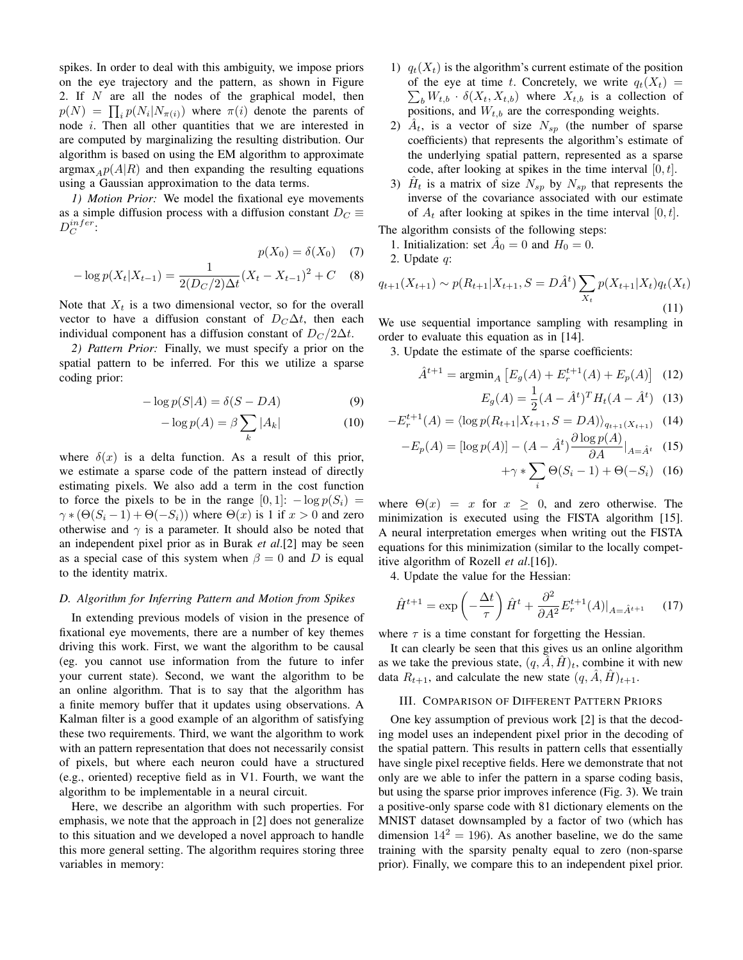spikes. In order to deal with this ambiguity, we impose priors on the eye trajectory and the pattern, as shown in Figure 2. If *N* are all the nodes of the graphical model, then  $p(N) = \prod_i p(N_i|N_{\pi(i)})$  where  $\pi(i)$  denote the parents of node *i*. Then all other quantities that we are interested in are computed by marginalizing the resulting distribution. Our algorithm is based on using the EM algorithm to approximate argmax<sub>*A*</sub> $p(A|R)$  and then expanding the resulting equations using a Gaussian approximation to the data terms.

*1) Motion Prior:* We model the fixational eye movements as a simple diffusion process with a diffusion constant  $D_C \equiv$  $D_C^{infer}$  :

$$
p(X_0) = \delta(X_0) \quad (7)
$$

$$
-\log p(X_t | X_{t-1}) = \frac{1}{2(D_C/2)\Delta t} (X_t - X_{t-1})^2 + C \quad (8)
$$

Note that  $X_t$  is a two dimensional vector, so for the overall vector to have a diffusion constant of  $D_C \Delta t$ , then each individual component has a diffusion constant of  $D_C/2\Delta t$ .

*2) Pattern Prior:* Finally, we must specify a prior on the spatial pattern to be inferred. For this we utilize a sparse coding prior:

$$
-\log p(S|A) = \delta(S - DA)
$$
\n(9)

$$
-\log p(A) = \beta \sum_{k} |A_k| \tag{10}
$$

where  $\delta(x)$  is a delta function. As a result of this prior, we estimate a sparse code of the pattern instead of directly estimating pixels. We also add a term in the cost function to force the pixels to be in the range  $[0, 1]$ :  $-\log p(S_i)$  =  $\gamma * (\Theta(S_i - 1) + \Theta(-S_i))$  where  $\Theta(x)$  is 1 if  $x > 0$  and zero otherwise and  $\gamma$  is a parameter. It should also be noted that an independent pixel prior as in Burak *et al*.[2] may be seen as a special case of this system when  $\beta = 0$  and *D* is equal to the identity matrix.

#### *D. Algorithm for Inferring Pattern and Motion from Spikes*

In extending previous models of vision in the presence of fixational eye movements, there are a number of key themes driving this work. First, we want the algorithm to be causal (eg. you cannot use information from the future to infer your current state). Second, we want the algorithm to be an online algorithm. That is to say that the algorithm has a finite memory buffer that it updates using observations. A Kalman filter is a good example of an algorithm of satisfying these two requirements. Third, we want the algorithm to work with an pattern representation that does not necessarily consist of pixels, but where each neuron could have a structured (e.g., oriented) receptive field as in V1. Fourth, we want the algorithm to be implementable in a neural circuit.

Here, we describe an algorithm with such properties. For emphasis, we note that the approach in [2] does not generalize to this situation and we developed a novel approach to handle this more general setting. The algorithm requires storing three variables in memory:

- 1)  $q_t(X_t)$  is the algorithm's current estimate of the position of the eye at time t. Concretely, we write  $q_t(X_t)$  =  $\sum_b W_{t,b} \cdot \delta(X_t, X_{t,b})$  where  $X_{t,b}$  is a collection of positions, and *Wt,b* are the corresponding weights.
- 2)  $A_t$ , is a vector of size  $N_{sp}$  (the number of sparse coefficients) that represents the algorithm's estimate of the underlying spatial pattern, represented as a sparse code, after looking at spikes in the time interval [0*, t*].
- 3)  $H_t$  is a matrix of size  $N_{sp}$  by  $N_{sp}$  that represents the inverse of the covariance associated with our estimate of  $A_t$  after looking at spikes in the time interval  $[0, t]$ .

The algorithm consists of the following steps:

- 1. Initialization: set  $\hat{A}_0 = 0$  and  $H_0 = 0$ .
- 2. Update *q*:

$$
q_{t+1}(X_{t+1}) \sim p(R_{t+1}|X_{t+1}, S = D\hat{A}^t) \sum_{X_t} p(X_{t+1}|X_t) q_t(X_t)
$$
\n(11)

We use sequential importance sampling with resampling in order to evaluate this equation as in [14].

3. Update the estimate of the sparse coefficients:

$$
\hat{A}^{t+1} = \operatorname{argmin}_{A} \left[ E_g(A) + E_r^{t+1}(A) + E_p(A) \right] \tag{12}
$$

$$
E_g(A) = \frac{1}{2}(A - \hat{A}^t)^T H_t(A - \hat{A}^t)
$$
 (13)

$$
-E_r^{t+1}(A) = \langle \log p(R_{t+1}|X_{t+1}, S = DA) \rangle_{q_{t+1}(X_{t+1})} \tag{14}
$$

$$
-E_p(A) = [\log p(A)] - (A - \hat{A}^t) \frac{\partial \log p(A)}{\partial A}|_{A = \hat{A}^t} \quad (15)
$$

$$
+\gamma * \sum_{i} \Theta(S_i - 1) + \Theta(-S_i) \quad (16)
$$

where  $\Theta(x) = x$  for  $x \geq 0$ , and zero otherwise. The minimization is executed using the FISTA algorithm [15]. A neural interpretation emerges when writing out the FISTA equations for this minimization (similar to the locally competitive algorithm of Rozell *et al*.[16]).

4. Update the value for the Hessian:

$$
\hat{H}^{t+1} = \exp\left(-\frac{\Delta t}{\tau}\right)\hat{H}^t + \frac{\partial^2}{\partial A^2} E_r^{t+1}(A)|_{A=\hat{A}^{t+1}} \qquad (17)
$$

where  $\tau$  is a time constant for forgetting the Hessian.

It can clearly be seen that this gives us an online algorithm as we take the previous state,  $(q, \hat{A}, \hat{H})_t$ , combine it with new data  $R_{t+1}$ , and calculate the new state  $(q, \hat{A}, \hat{H})_{t+1}$ .

## III. COMPARISON OF DIFFERENT PATTERN PRIORS

One key assumption of previous work [2] is that the decoding model uses an independent pixel prior in the decoding of the spatial pattern. This results in pattern cells that essentially have single pixel receptive fields. Here we demonstrate that not only are we able to infer the pattern in a sparse coding basis, but using the sparse prior improves inference (Fig. 3). We train a positive-only sparse code with 81 dictionary elements on the MNIST dataset downsampled by a factor of two (which has dimension  $14^2 = 196$ ). As another baseline, we do the same training with the sparsity penalty equal to zero (non-sparse prior). Finally, we compare this to an independent pixel prior.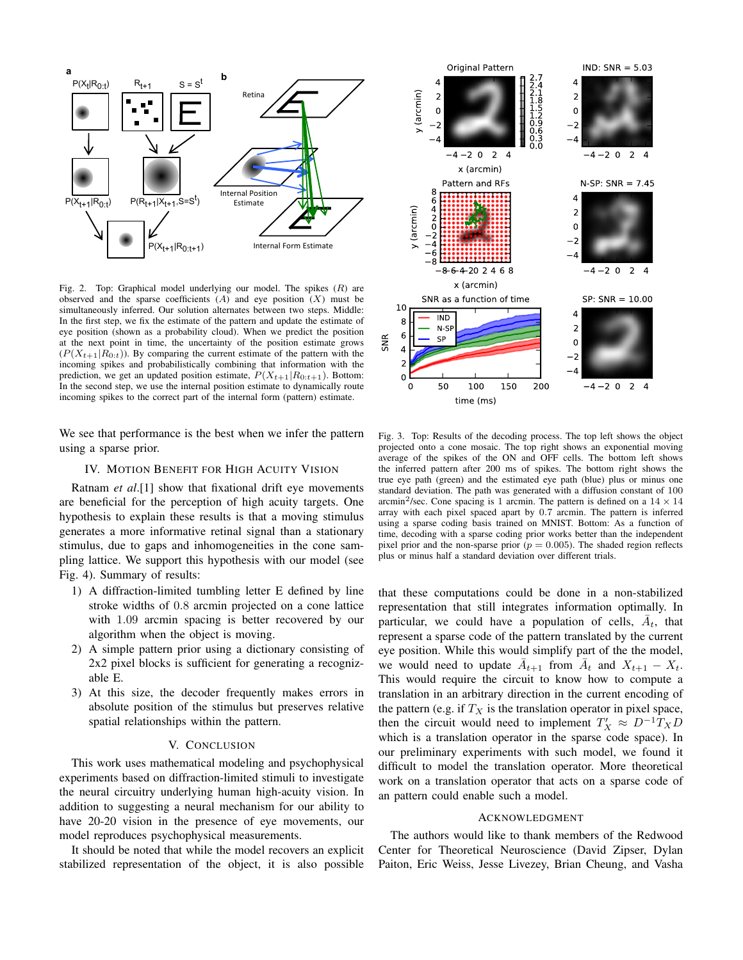

Fig. 2. Top: Graphical model underlying our model. The spikes (*R*) are observed and the sparse coefficients  $(A)$  and eye position  $(X)$  must be simultaneously inferred. Our solution alternates between two steps. Middle: In the first step, we fix the estimate of the pattern and update the estimate of eye position (shown as a probability cloud). When we predict the position at the next point in time, the uncertainty of the position estimate grows  $(P(X_{t+1}|R_{0:t}))$ . By comparing the current estimate of the pattern with the incoming spikes and probabilistically combining that information with the prediction, we get an updated position estimate,  $P(X_{t+1}|R_{0:t+1})$ . Bottom: In the second step, we use the internal position estimate to dynamically route incoming spikes to the correct part of the internal form (pattern) estimate.

We see that performance is the best when we infer the pattern using a sparse prior.

#### IV. MOTION BENEFIT FOR HIGH ACUITY VISION

Ratnam *et al*.[1] show that fixational drift eye movements are beneficial for the perception of high acuity targets. One hypothesis to explain these results is that a moving stimulus generates a more informative retinal signal than a stationary stimulus, due to gaps and inhomogeneities in the cone sampling lattice. We support this hypothesis with our model (see Fig. 4). Summary of results:

- 1) A diffraction-limited tumbling letter E defined by line stroke widths of 0*.*8 arcmin projected on a cone lattice with 1*.*09 arcmin spacing is better recovered by our algorithm when the object is moving.
- 2) A simple pattern prior using a dictionary consisting of 2x2 pixel blocks is sufficient for generating a recognizable E.
- 3) At this size, the decoder frequently makes errors in absolute position of the stimulus but preserves relative spatial relationships within the pattern.

## V. CONCLUSION

This work uses mathematical modeling and psychophysical experiments based on diffraction-limited stimuli to investigate the neural circuitry underlying human high-acuity vision. In addition to suggesting a neural mechanism for our ability to have 20-20 vision in the presence of eye movements, our model reproduces psychophysical measurements.

It should be noted that while the model recovers an explicit stabilized representation of the object, it is also possible



Fig. 3. Top: Results of the decoding process. The top left shows the object projected onto a cone mosaic. The top right shows an exponential moving average of the spikes of the ON and OFF cells. The bottom left shows the inferred pattern after 200 ms of spikes. The bottom right shows the true eye path (green) and the estimated eye path (blue) plus or minus one standard deviation. The path was generated with a diffusion constant of 100 arcmin<sup>2</sup>/sec. Cone spacing is 1 arcmin. The pattern is defined on a  $14 \times 14$ array with each pixel spaced apart by 0*.*7 arcmin. The pattern is inferred using a sparse coding basis trained on MNIST. Bottom: As a function of time, decoding with a sparse coding prior works better than the independent pixel prior and the non-sparse prior  $(p = 0.005)$ . The shaded region reflects plus or minus half a standard deviation over different trials.

that these computations could be done in a non-stabilized representation that still integrates information optimally. In particular, we could have a population of cells,  $\overline{A}_t$ , that represent a sparse code of the pattern translated by the current eye position. While this would simplify part of the the model, we would need to update  $\overline{A}_{t+1}$  from  $\overline{A}_t$  and  $X_{t+1} - X_t$ . This would require the circuit to know how to compute a translation in an arbitrary direction in the current encoding of the pattern (e.g. if  $T_X$  is the translation operator in pixel space, then the circuit would need to implement  $T'_X \approx D^{-1}T_XD$ which is a translation operator in the sparse code space). In our preliminary experiments with such model, we found it difficult to model the translation operator. More theoretical work on a translation operator that acts on a sparse code of an pattern could enable such a model.

#### ACKNOWLEDGMENT

The authors would like to thank members of the Redwood Center for Theoretical Neuroscience (David Zipser, Dylan Paiton, Eric Weiss, Jesse Livezey, Brian Cheung, and Vasha